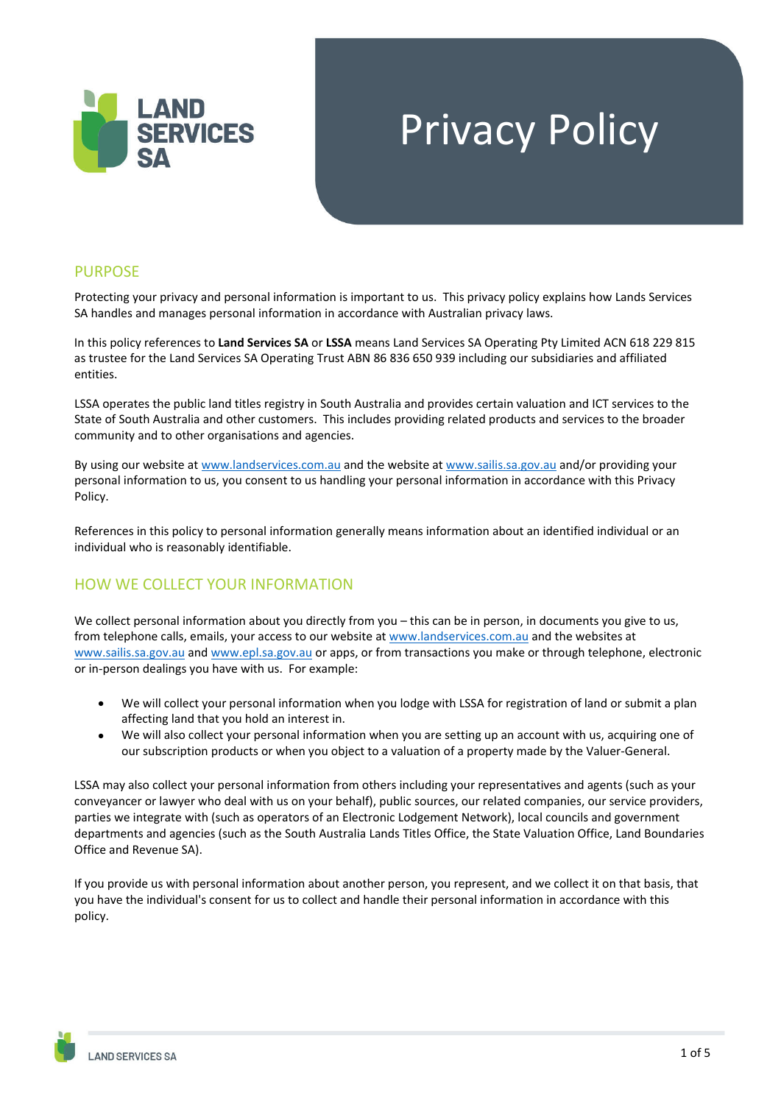

# Privacy Policy

#### PURPOSE

Protecting your privacy and personal information is important to us. This privacy policy explains how Lands Services SA handles and manages personal information in accordance with Australian privacy laws.

In this policy references to **Land Services SA** or **LSSA** means Land Services SA Operating Pty Limited ACN 618 229 815 as trustee for the Land Services SA Operating Trust ABN 86 836 650 939 including our subsidiaries and affiliated entities.

LSSA operates the public land titles registry in South Australia and provides certain valuation and ICT services to the State of South Australia and other customers. This includes providing related products and services to the broader community and to other organisations and agencies.

By using our website at www.landservices.com.au and the website at www.sailis.sa.gov.au and/or providing your personal information to us, you consent to us handling your personal information in accordance with this Privacy Policy.

References in this policy to personal information generally means information about an identified individual or an individual who is reasonably identifiable.

## HOW WE COLLECT YOUR INFORMATION

We collect personal information about you directly from you – this can be in person, in documents you give to us, from telephone calls, emails, your access to our website at www.landservices.com.au and the websites at www.sailis.sa.gov.au and www.epl.sa.gov.au or apps, or from transactions you make or through telephone, electronic or in‐person dealings you have with us. For example:

- We will collect your personal information when you lodge with LSSA for registration of land or submit a plan affecting land that you hold an interest in.
- We will also collect your personal information when you are setting up an account with us, acquiring one of our subscription products or when you object to a valuation of a property made by the Valuer‐General.

LSSA may also collect your personal information from others including your representatives and agents (such as your conveyancer or lawyer who deal with us on your behalf), public sources, our related companies, our service providers, parties we integrate with (such as operators of an Electronic Lodgement Network), local councils and government departments and agencies (such as the South Australia Lands Titles Office, the State Valuation Office, Land Boundaries Office and Revenue SA).

If you provide us with personal information about another person, you represent, and we collect it on that basis, that you have the individual's consent for us to collect and handle their personal information in accordance with this policy.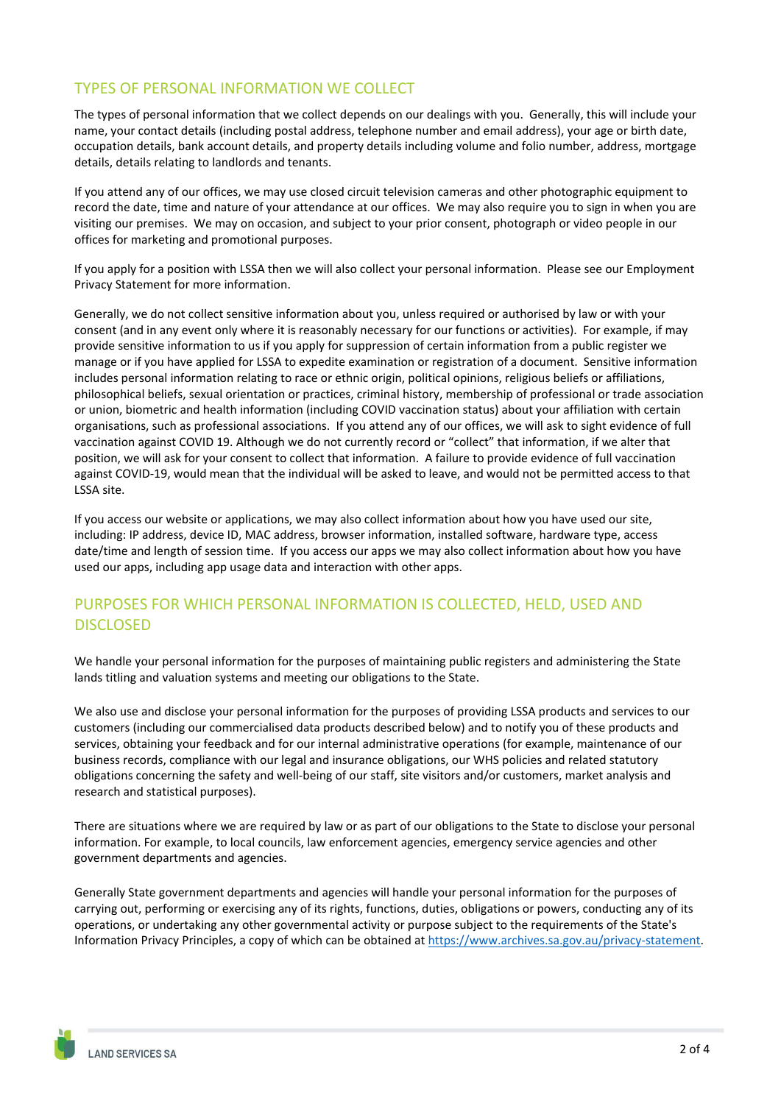# TYPES OF PERSONAL INFORMATION WE COLLECT

The types of personal information that we collect depends on our dealings with you. Generally, this will include your name, your contact details (including postal address, telephone number and email address), your age or birth date, occupation details, bank account details, and property details including volume and folio number, address, mortgage details, details relating to landlords and tenants.

If you attend any of our offices, we may use closed circuit television cameras and other photographic equipment to record the date, time and nature of your attendance at our offices. We may also require you to sign in when you are visiting our premises. We may on occasion, and subject to your prior consent, photograph or video people in our offices for marketing and promotional purposes.

If you apply for a position with LSSA then we will also collect your personal information. Please see our Employment Privacy Statement for more information.

Generally, we do not collect sensitive information about you, unless required or authorised by law or with your consent (and in any event only where it is reasonably necessary for our functions or activities). For example, if may provide sensitive information to us if you apply for suppression of certain information from a public register we manage or if you have applied for LSSA to expedite examination or registration of a document. Sensitive information includes personal information relating to race or ethnic origin, political opinions, religious beliefs or affiliations, philosophical beliefs, sexual orientation or practices, criminal history, membership of professional or trade association or union, biometric and health information (including COVID vaccination status) about your affiliation with certain organisations, such as professional associations. If you attend any of our offices, we will ask to sight evidence of full vaccination against COVID 19. Although we do not currently record or "collect" that information, if we alter that position, we will ask for your consent to collect that information. A failure to provide evidence of full vaccination against COVID‐19, would mean that the individual will be asked to leave, and would not be permitted access to that LSSA site.

If you access our website or applications, we may also collect information about how you have used our site, including: IP address, device ID, MAC address, browser information, installed software, hardware type, access date/time and length of session time. If you access our apps we may also collect information about how you have used our apps, including app usage data and interaction with other apps.

# PURPOSES FOR WHICH PERSONAL INFORMATION IS COLLECTED, HELD, USED AND DISCLOSED

We handle your personal information for the purposes of maintaining public registers and administering the State lands titling and valuation systems and meeting our obligations to the State.

We also use and disclose your personal information for the purposes of providing LSSA products and services to our customers (including our commercialised data products described below) and to notify you of these products and services, obtaining your feedback and for our internal administrative operations (for example, maintenance of our business records, compliance with our legal and insurance obligations, our WHS policies and related statutory obligations concerning the safety and well‐being of our staff, site visitors and/or customers, market analysis and research and statistical purposes).

There are situations where we are required by law or as part of our obligations to the State to disclose your personal information. For example, to local councils, law enforcement agencies, emergency service agencies and other government departments and agencies.

Generally State government departments and agencies will handle your personal information for the purposes of carrying out, performing or exercising any of its rights, functions, duties, obligations or powers, conducting any of its operations, or undertaking any other governmental activity or purpose subject to the requirements of the State's Information Privacy Principles, a copy of which can be obtained at https://www.archives.sa.gov.au/privacy‐statement.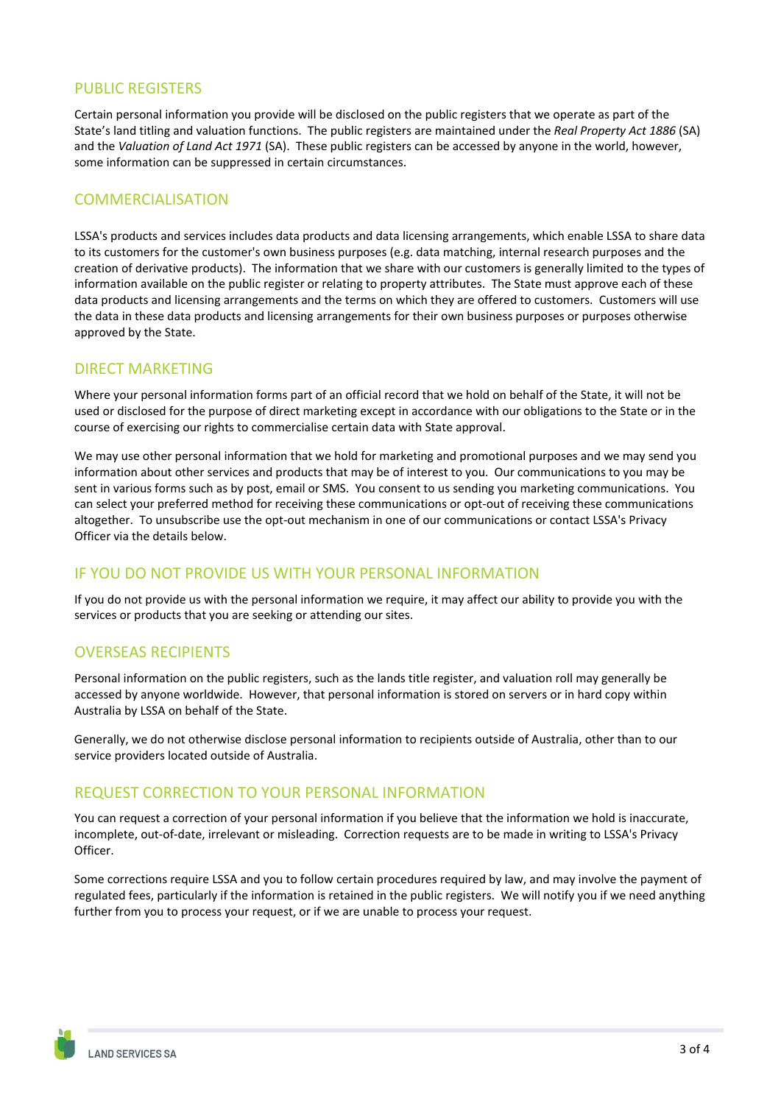#### PUBLIC REGISTERS

Certain personal information you provide will be disclosed on the public registers that we operate as part of the State's land titling and valuation functions. The public registers are maintained under the *Real Property Act 1886* (SA) and the *Valuation of Land Act 1971* (SA). These public registers can be accessed by anyone in the world, however, some information can be suppressed in certain circumstances.

#### COMMERCIALISATION

LSSA's products and services includes data products and data licensing arrangements, which enable LSSA to share data to its customers for the customer's own business purposes (e.g. data matching, internal research purposes and the creation of derivative products). The information that we share with our customers is generally limited to the types of information available on the public register or relating to property attributes. The State must approve each of these data products and licensing arrangements and the terms on which they are offered to customers. Customers will use the data in these data products and licensing arrangements for their own business purposes or purposes otherwise approved by the State.

#### DIRECT MARKETING

Where your personal information forms part of an official record that we hold on behalf of the State, it will not be used or disclosed for the purpose of direct marketing except in accordance with our obligations to the State or in the course of exercising our rights to commercialise certain data with State approval.

We may use other personal information that we hold for marketing and promotional purposes and we may send you information about other services and products that may be of interest to you. Our communications to you may be sent in various forms such as by post, email or SMS. You consent to us sending you marketing communications. You can select your preferred method for receiving these communications or opt-out of receiving these communications altogether. To unsubscribe use the opt‐out mechanism in one of our communications or contact LSSA's Privacy Officer via the details below.

## IF YOU DO NOT PROVIDE US WITH YOUR PERSONAL INFORMATION

If you do not provide us with the personal information we require, it may affect our ability to provide you with the services or products that you are seeking or attending our sites.

## OVERSEAS RECIPIENTS

Personal information on the public registers, such as the lands title register, and valuation roll may generally be accessed by anyone worldwide. However, that personal information is stored on servers or in hard copy within Australia by LSSA on behalf of the State.

Generally, we do not otherwise disclose personal information to recipients outside of Australia, other than to our service providers located outside of Australia.

#### REQUEST CORRECTION TO YOUR PERSONAL INFORMATION

You can request a correction of your personal information if you believe that the information we hold is inaccurate, incomplete, out‐of‐date, irrelevant or misleading. Correction requests are to be made in writing to LSSA's Privacy Officer.

Some corrections require LSSA and you to follow certain procedures required by law, and may involve the payment of regulated fees, particularly if the information is retained in the public registers. We will notify you if we need anything further from you to process your request, or if we are unable to process your request.